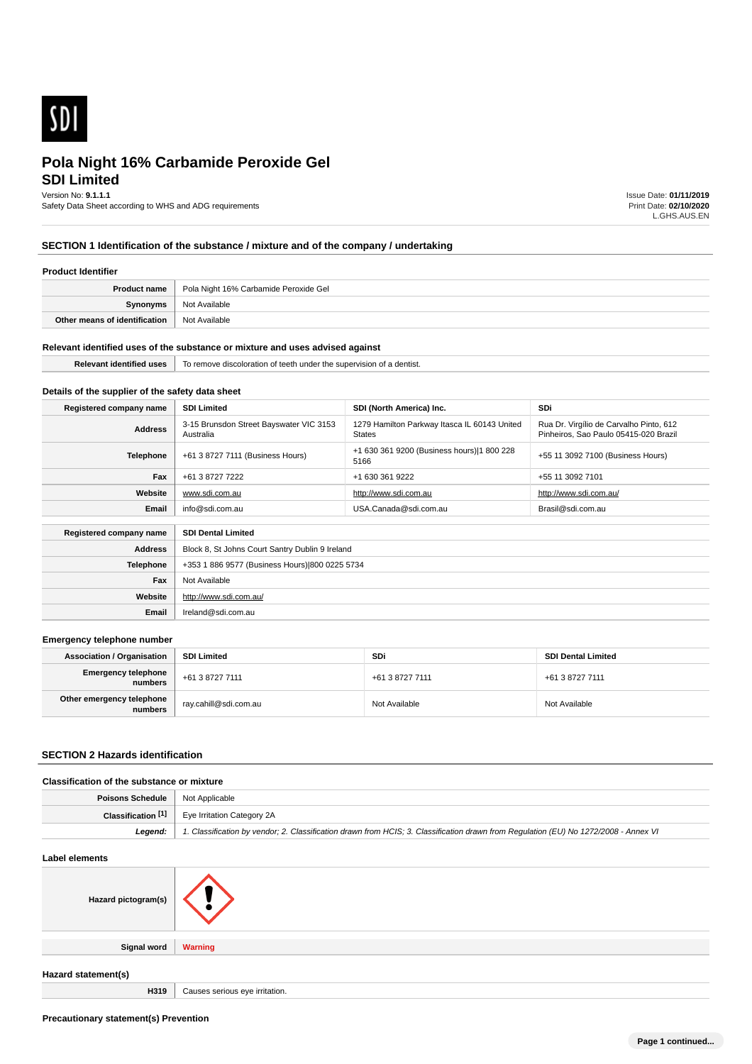

# **SDI Limited Pola Night 16% Carbamide Peroxide Gel**

Version No: **9.1.1.1**

Safety Data Sheet according to WHS and ADG requirements

Issue Date: **01/11/2019** Print Date: **02/10/2020** L.GHS.AUS.EN

# **SECTION 1 Identification of the substance / mixture and of the company / undertaking**

## **Product Identifier**

| <b>Product name</b>           | Pola Night 16% Carbamide Peroxide Gel |
|-------------------------------|---------------------------------------|
| Synonyms                      | Not Available                         |
| Other means of identification | Not Available                         |

#### **Relevant identified uses of the substance or mixture and uses advised against**

| тиве | dentist.<br>coloration<br>- 10<br>ernov∈<br><b>IDARVISK</b><br>me<br>Teeth<br>unae<br>. |
|------|-----------------------------------------------------------------------------------------|
|      |                                                                                         |

# **Details of the supplier of the safety data sheet**

**Website**

**Email** Ireland@sdi.com.au

http://www.sdi.com.au/

| Registered company name | <b>SDI Limited</b>                                                | SDI (North America) Inc.                                      | <b>SDi</b>                                                                       |  |
|-------------------------|-------------------------------------------------------------------|---------------------------------------------------------------|----------------------------------------------------------------------------------|--|
| <b>Address</b>          | 3-15 Brunsdon Street Bayswater VIC 3153<br>Australia              | 1279 Hamilton Parkway Itasca IL 60143 United<br><b>States</b> | Rua Dr. Virgílio de Carvalho Pinto, 612<br>Pinheiros. Sao Paulo 05415-020 Brazil |  |
| Telephone               | +61 3 8727 7111 (Business Hours)                                  | +1 630 361 9200 (Business hours) 1 800 228<br>5166            | +55 11 3092 7100 (Business Hours)                                                |  |
| Fax                     | +61 3 8727 7222                                                   | +1 630 361 9222                                               | +55 11 3092 7101                                                                 |  |
| Website                 | http://www.sdi.com.au<br>http://www.sdi.com.au/<br>www.sdi.com.au |                                                               |                                                                                  |  |
| Email                   | info@sdi.com.au<br>USA.Canada@sdi.com.au<br>Brasil@sdi.com.au     |                                                               |                                                                                  |  |
| Registered company name | <b>SDI Dental Limited</b>                                         |                                                               |                                                                                  |  |
| <b>Address</b>          | Block 8, St Johns Court Santry Dublin 9 Ireland                   |                                                               |                                                                                  |  |
| <b>Telephone</b>        | +353 1 886 9577 (Business Hours) 800 0225 5734                    |                                                               |                                                                                  |  |
| Fax                     | Not Available                                                     |                                                               |                                                                                  |  |

#### **Emergency telephone number**

| <b>Association / Organisation</b>     | <b>SDI Limited</b>    | SDi             | <b>SDI Dental Limited</b> |
|---------------------------------------|-----------------------|-----------------|---------------------------|
| <b>Emergency telephone</b><br>numbers | +61 3 8727 7111       | +61 3 8727 7111 | +61 3 8727 7111           |
| Other emergency telephone<br>numbers  | ray.cahill@sdi.com.au | Not Available   | Not Available             |

#### **SECTION 2 Hazards identification**

## **Classification of the substance or mixture**

| <b>Poisons Schedule</b>   Not Applicable |                                                                                                                                      |
|------------------------------------------|--------------------------------------------------------------------------------------------------------------------------------------|
|                                          | <b>Classification <math>\begin{bmatrix} 1 \end{bmatrix}</math></b> Eye Irritation Category 2A                                        |
| Leaend:                                  | 1. Classification by vendor; 2. Classification drawn from HCIS; 3. Classification drawn from Requlation (EU) No 1272/2008 - Annex VI |

| Label elements      |                                |
|---------------------|--------------------------------|
| Hazard pictogram(s) | $\mathcal{L}$ , $\mathcal{L}$  |
| Signal word         | <b>Warning</b>                 |
| Hazard statement(s) |                                |
| H319                | Causes serious eye irritation. |

**Precautionary statement(s) Prevention**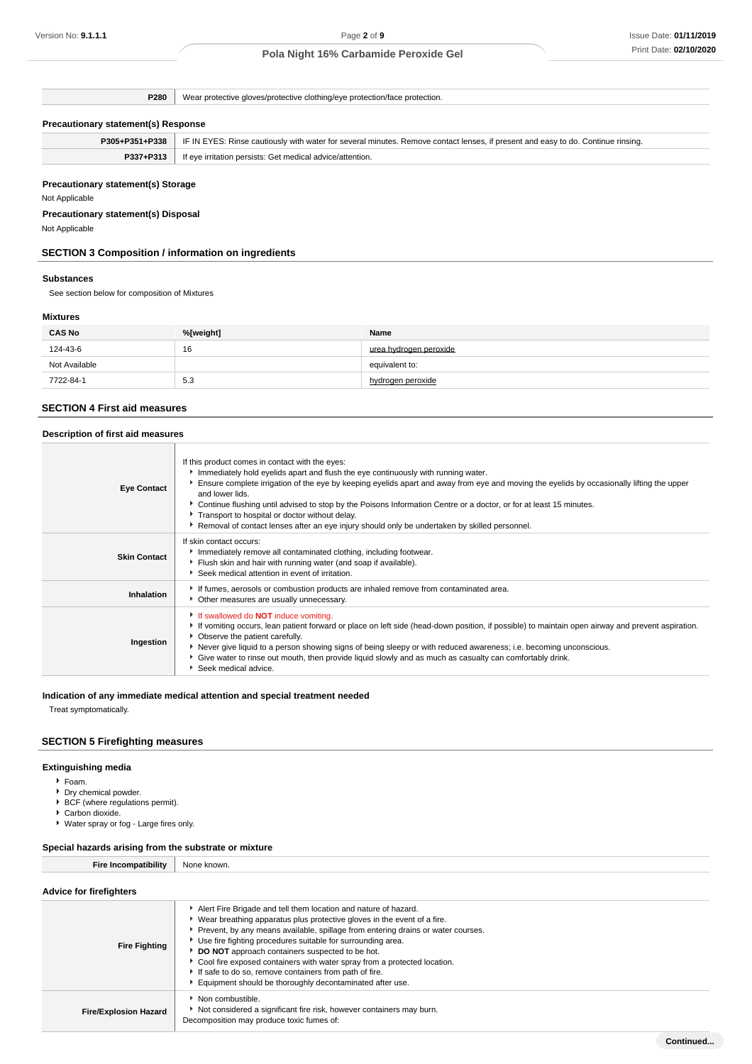**P280** Wear protective gloves/protective clothing/eye protection/face protection.

## **Precautionary statement(s) Response**

|                                                                        | P305+P351+P338 | IF IN EYES: Rinse cautiously with water for several minutes. Remove contact lenses, if present and easy to do. Continue rinsing. |
|------------------------------------------------------------------------|----------------|----------------------------------------------------------------------------------------------------------------------------------|
| P337+P313<br>If eve irritation persists: Get medical advice/attention. |                |                                                                                                                                  |

## **Precautionary statement(s) Storage**

Not Applicable

# **Precautionary statement(s) Disposal**

Not Applicable

## **SECTION 3 Composition / information on ingredients**

#### **Substances**

See section below for composition of Mixtures

## **Mixtures**

| <b>CAS No</b> | %[weight] | Name                   |
|---------------|-----------|------------------------|
| 124-43-6      | 16        | urea hydrogen peroxide |
| Not Available |           | equivalent to:         |
| 7722-84-1     | 5.3       | hydrogen peroxide      |

## **SECTION 4 First aid measures**

## **Description of first aid measures**

| <b>Eye Contact</b>  | If this product comes in contact with the eyes:<br>Immediately hold eyelids apart and flush the eye continuously with running water.<br>Ensure complete irrigation of the eye by keeping eyelids apart and away from eye and moving the eyelids by occasionally lifting the upper<br>and lower lids.<br>► Continue flushing until advised to stop by the Poisons Information Centre or a doctor, or for at least 15 minutes.<br>Transport to hospital or doctor without delay.<br>Removal of contact lenses after an eye injury should only be undertaken by skilled personnel. |
|---------------------|---------------------------------------------------------------------------------------------------------------------------------------------------------------------------------------------------------------------------------------------------------------------------------------------------------------------------------------------------------------------------------------------------------------------------------------------------------------------------------------------------------------------------------------------------------------------------------|
| <b>Skin Contact</b> | If skin contact occurs:<br>Immediately remove all contaminated clothing, including footwear.<br>Flush skin and hair with running water (and soap if available).<br>Seek medical attention in event of irritation.                                                                                                                                                                                                                                                                                                                                                               |
| Inhalation          | If fumes, aerosols or combustion products are inhaled remove from contaminated area.<br>Other measures are usually unnecessary.                                                                                                                                                                                                                                                                                                                                                                                                                                                 |
| Ingestion           | If swallowed do <b>NOT</b> induce vomiting.<br>► If vomiting occurs, lean patient forward or place on left side (head-down position, if possible) to maintain open airway and prevent aspiration.<br>• Observe the patient carefully.<br>▶ Never give liquid to a person showing signs of being sleepy or with reduced awareness; i.e. becoming unconscious.<br>Give water to rinse out mouth, then provide liquid slowly and as much as casualty can comfortably drink.<br>Seek medical advice.                                                                                |

#### **Indication of any immediate medical attention and special treatment needed**

Treat symptomatically.

## **SECTION 5 Firefighting measures**

## **Extinguishing media**

- Foam.
- **Dry chemical powder.**
- ▶ BCF (where regulations permit).
- ▶ Carbon dioxide.
- Water spray or fog Large fires only.

#### **Special hazards arising from the substrate or mixture**

**Fire Incompatibility** None known.

# **Advice for firefighters**

| AUVICE IUI IIIEIIUIIIEI S    |                                                                                                                                                                                                                                                                                                                                                                                                                                                                                                                                                    |
|------------------------------|----------------------------------------------------------------------------------------------------------------------------------------------------------------------------------------------------------------------------------------------------------------------------------------------------------------------------------------------------------------------------------------------------------------------------------------------------------------------------------------------------------------------------------------------------|
| <b>Fire Fighting</b>         | Alert Fire Brigade and tell them location and nature of hazard.<br>Wear breathing apparatus plus protective gloves in the event of a fire.<br>Prevent, by any means available, spillage from entering drains or water courses.<br>Use fire fighting procedures suitable for surrounding area.<br>DO NOT approach containers suspected to be hot.<br>Cool fire exposed containers with water spray from a protected location.<br>If safe to do so, remove containers from path of fire.<br>Equipment should be thoroughly decontaminated after use. |
| <b>Fire/Explosion Hazard</b> | Non combustible.<br>Not considered a significant fire risk, however containers may burn.<br>Decomposition may produce toxic fumes of:                                                                                                                                                                                                                                                                                                                                                                                                              |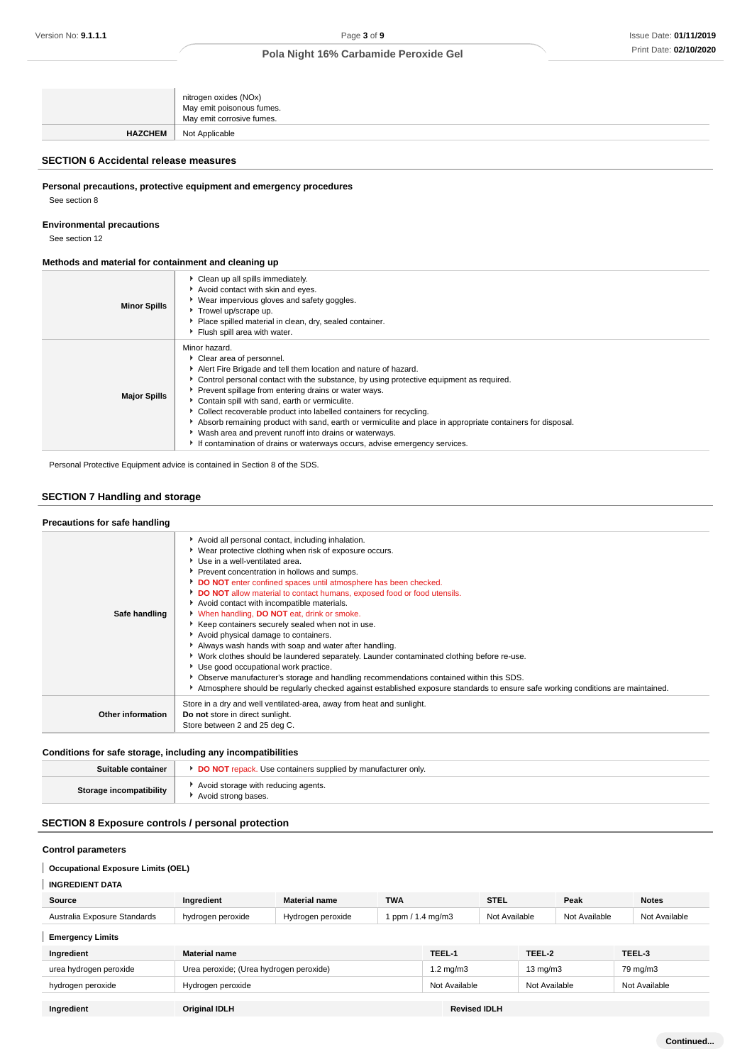|                | nitrogen oxides (NOx)<br>May emit poisonous fumes.<br>May emit corrosive fumes. |
|----------------|---------------------------------------------------------------------------------|
| <b>HAZCHEM</b> | Not Applicable                                                                  |

## **SECTION 6 Accidental release measures**

**Personal precautions, protective equipment and emergency procedures**

See section 8

**Environmental precautions**

See section 12

## **Methods and material for containment and cleaning up**

| <b>Minor Spills</b> | Clean up all spills immediately.<br>Avoid contact with skin and eyes.<br>▶ Wear impervious gloves and safety goggles.<br>Trowel up/scrape up.<br>Place spilled material in clean, dry, sealed container.<br>Flush spill area with water.                                                                                                                                                                                                                                                                                                                                                                                                           |
|---------------------|----------------------------------------------------------------------------------------------------------------------------------------------------------------------------------------------------------------------------------------------------------------------------------------------------------------------------------------------------------------------------------------------------------------------------------------------------------------------------------------------------------------------------------------------------------------------------------------------------------------------------------------------------|
| <b>Major Spills</b> | Minor hazard.<br>Clear area of personnel.<br>Alert Fire Brigade and tell them location and nature of hazard.<br>• Control personal contact with the substance, by using protective equipment as required.<br>Prevent spillage from entering drains or water ways.<br>Contain spill with sand, earth or vermiculite.<br>Collect recoverable product into labelled containers for recycling.<br>Absorb remaining product with sand, earth or vermiculite and place in appropriate containers for disposal.<br>• Wash area and prevent runoff into drains or waterways.<br>If contamination of drains or waterways occurs, advise emergency services. |

Personal Protective Equipment advice is contained in Section 8 of the SDS.

# **SECTION 7 Handling and storage**

| Precautions for safe handling |                                                                                                                                                                                                                                                                                                                                                                                                                                                                                                                                                                                                                                                                                                                                                                                                                                                                                                                                                                              |
|-------------------------------|------------------------------------------------------------------------------------------------------------------------------------------------------------------------------------------------------------------------------------------------------------------------------------------------------------------------------------------------------------------------------------------------------------------------------------------------------------------------------------------------------------------------------------------------------------------------------------------------------------------------------------------------------------------------------------------------------------------------------------------------------------------------------------------------------------------------------------------------------------------------------------------------------------------------------------------------------------------------------|
| Safe handling                 | Avoid all personal contact, including inhalation.<br>▶ Wear protective clothing when risk of exposure occurs.<br>▶ Use in a well-ventilated area.<br>Prevent concentration in hollows and sumps.<br>DO NOT enter confined spaces until atmosphere has been checked.<br>DO NOT allow material to contact humans, exposed food or food utensils.<br>Avoid contact with incompatible materials.<br>When handling, <b>DO NOT</b> eat, drink or smoke.<br>Keep containers securely sealed when not in use.<br>Avoid physical damage to containers.<br>Always wash hands with soap and water after handling.<br>▶ Work clothes should be laundered separately. Launder contaminated clothing before re-use.<br>Use good occupational work practice.<br>• Observe manufacturer's storage and handling recommendations contained within this SDS.<br>Atmosphere should be regularly checked against established exposure standards to ensure safe working conditions are maintained. |
| Other information             | Store in a dry and well ventilated-area, away from heat and sunlight.<br>Do not store in direct sunlight.<br>Store between 2 and 25 deg C.                                                                                                                                                                                                                                                                                                                                                                                                                                                                                                                                                                                                                                                                                                                                                                                                                                   |

## **Conditions for safe storage, including any incompatibilities**

| Suitable container             | <b>DO NOT</b> repack. Use containers supplied by manufacturer only. |
|--------------------------------|---------------------------------------------------------------------|
| <b>Storage incompatibility</b> | Avoid storage with reducing agents.<br>Avoid strong bases.          |

# **SECTION 8 Exposure controls / personal protection**

# **Control parameters**

#### **Occupational Exposure Limits (OEL)**

# **INGREDIENT DATA**

| Source                       | Ingredient                              | <b>Material name</b> | <b>TWA</b>        |                     | <b>STEL</b>   |                   | Peak          | <b>Notes</b>  |
|------------------------------|-----------------------------------------|----------------------|-------------------|---------------------|---------------|-------------------|---------------|---------------|
| Australia Exposure Standards | hydrogen peroxide                       | Hydrogen peroxide    | 1 ppm / 1.4 mg/m3 |                     | Not Available |                   | Not Available | Not Available |
| <b>Emergency Limits</b>      |                                         |                      |                   |                     |               |                   |               |               |
| Ingredient                   | <b>Material name</b>                    |                      |                   | TEEL-1              |               | TEEL-2            |               | TEEL-3        |
| urea hydrogen peroxide       | Urea peroxide; (Urea hydrogen peroxide) |                      |                   | $1.2 \text{ mg/m}$  |               | $13 \text{ mg/m}$ |               | 79 mg/m3      |
| hydrogen peroxide            | Hydrogen peroxide                       |                      |                   | Not Available       |               | Not Available     |               | Not Available |
|                              |                                         |                      |                   |                     |               |                   |               |               |
| Ingredient                   | <b>Original IDLH</b>                    |                      |                   | <b>Revised IDLH</b> |               |                   |               |               |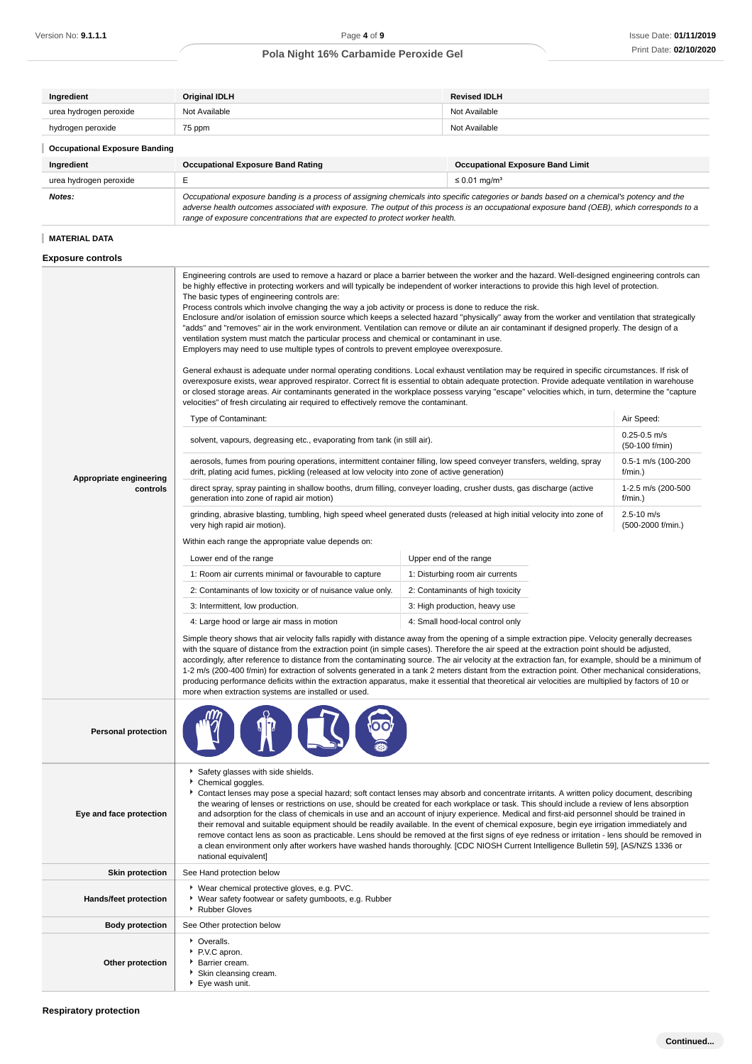| Ingredient                           | <b>Original IDLH</b> | <b>Revised IDLH</b> |  |
|--------------------------------------|----------------------|---------------------|--|
| urea hydrogen peroxide               | Not Available        | Not Available       |  |
| hydrogen peroxide                    | 75 ppm               | Not Available       |  |
| <b>Occupational Exposure Banding</b> |                      |                     |  |

| Ingredient             | <b>Occupational Exposure Band Rating</b>                                                                                                                                                                                                                                                                                                                                 | <b>Occupational Exposure Band Limit</b> |  |
|------------------------|--------------------------------------------------------------------------------------------------------------------------------------------------------------------------------------------------------------------------------------------------------------------------------------------------------------------------------------------------------------------------|-----------------------------------------|--|
| urea hydrogen peroxide |                                                                                                                                                                                                                                                                                                                                                                          | $\leq$ 0.01 mg/m <sup>3</sup>           |  |
| <b>Notes:</b>          | Occupational exposure banding is a process of assigning chemicals into specific categories or bands based on a chemical's potency and the<br>adverse health outcomes associated with exposure. The output of this process is an occupational exposure band (OEB), which corresponds to a<br>range of exposure concentrations that are expected to protect worker health. |                                         |  |

# **MATERIAL DATA**

## **Exposure controls**

|                            | Engineering controls are used to remove a hazard or place a barrier between the worker and the hazard. Well-designed engineering controls can<br>be highly effective in protecting workers and will typically be independent of worker interactions to provide this high level of protection.<br>The basic types of engineering controls are:<br>Process controls which involve changing the way a job activity or process is done to reduce the risk.<br>Enclosure and/or isolation of emission source which keeps a selected hazard "physically" away from the worker and ventilation that strategically<br>"adds" and "removes" air in the work environment. Ventilation can remove or dilute an air contaminant if designed properly. The design of a<br>ventilation system must match the particular process and chemical or contaminant in use.<br>Employers may need to use multiple types of controls to prevent employee overexposure.<br>General exhaust is adequate under normal operating conditions. Local exhaust ventilation may be required in specific circumstances. If risk of<br>overexposure exists, wear approved respirator. Correct fit is essential to obtain adequate protection. Provide adequate ventilation in warehouse<br>or closed storage areas. Air contaminants generated in the workplace possess varying "escape" velocities which, in turn, determine the "capture<br>velocities" of fresh circulating air required to effectively remove the contaminant.<br>Type of Contaminant: |                                  | Air Speed:                           |
|----------------------------|--------------------------------------------------------------------------------------------------------------------------------------------------------------------------------------------------------------------------------------------------------------------------------------------------------------------------------------------------------------------------------------------------------------------------------------------------------------------------------------------------------------------------------------------------------------------------------------------------------------------------------------------------------------------------------------------------------------------------------------------------------------------------------------------------------------------------------------------------------------------------------------------------------------------------------------------------------------------------------------------------------------------------------------------------------------------------------------------------------------------------------------------------------------------------------------------------------------------------------------------------------------------------------------------------------------------------------------------------------------------------------------------------------------------------------------------------------------------------------------------------------------------------|----------------------------------|--------------------------------------|
|                            | solvent, vapours, degreasing etc., evaporating from tank (in still air).                                                                                                                                                                                                                                                                                                                                                                                                                                                                                                                                                                                                                                                                                                                                                                                                                                                                                                                                                                                                                                                                                                                                                                                                                                                                                                                                                                                                                                                 |                                  | $0.25 - 0.5$ m/s                     |
|                            | aerosols, fumes from pouring operations, intermittent container filling, low speed conveyer transfers, welding, spray                                                                                                                                                                                                                                                                                                                                                                                                                                                                                                                                                                                                                                                                                                                                                                                                                                                                                                                                                                                                                                                                                                                                                                                                                                                                                                                                                                                                    |                                  | (50-100 f/min)<br>0.5-1 m/s (100-200 |
| Appropriate engineering    | drift, plating acid fumes, pickling (released at low velocity into zone of active generation)                                                                                                                                                                                                                                                                                                                                                                                                                                                                                                                                                                                                                                                                                                                                                                                                                                                                                                                                                                                                                                                                                                                                                                                                                                                                                                                                                                                                                            |                                  | f/min.)                              |
| controls                   | direct spray, spray painting in shallow booths, drum filling, conveyer loading, crusher dusts, gas discharge (active<br>generation into zone of rapid air motion)                                                                                                                                                                                                                                                                                                                                                                                                                                                                                                                                                                                                                                                                                                                                                                                                                                                                                                                                                                                                                                                                                                                                                                                                                                                                                                                                                        |                                  | 1-2.5 m/s (200-500<br>f/min.)        |
|                            | grinding, abrasive blasting, tumbling, high speed wheel generated dusts (released at high initial velocity into zone of<br>very high rapid air motion).                                                                                                                                                                                                                                                                                                                                                                                                                                                                                                                                                                                                                                                                                                                                                                                                                                                                                                                                                                                                                                                                                                                                                                                                                                                                                                                                                                  |                                  | $2.5 - 10$ m/s<br>(500-2000 f/min.)  |
|                            | Within each range the appropriate value depends on:                                                                                                                                                                                                                                                                                                                                                                                                                                                                                                                                                                                                                                                                                                                                                                                                                                                                                                                                                                                                                                                                                                                                                                                                                                                                                                                                                                                                                                                                      |                                  |                                      |
|                            | Lower end of the range                                                                                                                                                                                                                                                                                                                                                                                                                                                                                                                                                                                                                                                                                                                                                                                                                                                                                                                                                                                                                                                                                                                                                                                                                                                                                                                                                                                                                                                                                                   | Upper end of the range           |                                      |
|                            | 1: Room air currents minimal or favourable to capture                                                                                                                                                                                                                                                                                                                                                                                                                                                                                                                                                                                                                                                                                                                                                                                                                                                                                                                                                                                                                                                                                                                                                                                                                                                                                                                                                                                                                                                                    | 1: Disturbing room air currents  |                                      |
|                            | 2: Contaminants of low toxicity or of nuisance value only.                                                                                                                                                                                                                                                                                                                                                                                                                                                                                                                                                                                                                                                                                                                                                                                                                                                                                                                                                                                                                                                                                                                                                                                                                                                                                                                                                                                                                                                               | 2: Contaminants of high toxicity |                                      |
|                            | 3: Intermittent, low production.                                                                                                                                                                                                                                                                                                                                                                                                                                                                                                                                                                                                                                                                                                                                                                                                                                                                                                                                                                                                                                                                                                                                                                                                                                                                                                                                                                                                                                                                                         | 3: High production, heavy use    |                                      |
|                            | 4: Large hood or large air mass in motion                                                                                                                                                                                                                                                                                                                                                                                                                                                                                                                                                                                                                                                                                                                                                                                                                                                                                                                                                                                                                                                                                                                                                                                                                                                                                                                                                                                                                                                                                | 4: Small hood-local control only |                                      |
|                            | Simple theory shows that air velocity falls rapidly with distance away from the opening of a simple extraction pipe. Velocity generally decreases<br>with the square of distance from the extraction point (in simple cases). Therefore the air speed at the extraction point should be adjusted,<br>accordingly, after reference to distance from the contaminating source. The air velocity at the extraction fan, for example, should be a minimum of<br>1-2 m/s (200-400 f/min) for extraction of solvents generated in a tank 2 meters distant from the extraction point. Other mechanical considerations,<br>producing performance deficits within the extraction apparatus, make it essential that theoretical air velocities are multiplied by factors of 10 or<br>more when extraction systems are installed or used.                                                                                                                                                                                                                                                                                                                                                                                                                                                                                                                                                                                                                                                                                           |                                  |                                      |
| <b>Personal protection</b> |                                                                                                                                                                                                                                                                                                                                                                                                                                                                                                                                                                                                                                                                                                                                                                                                                                                                                                                                                                                                                                                                                                                                                                                                                                                                                                                                                                                                                                                                                                                          |                                  |                                      |
| Eye and face protection    | Safety glasses with side shields.<br>Chemical goggles.<br>Contact lenses may pose a special hazard; soft contact lenses may absorb and concentrate irritants. A written policy document, describing<br>the wearing of lenses or restrictions on use, should be created for each workplace or task. This should include a review of lens absorption<br>and adsorption for the class of chemicals in use and an account of injury experience. Medical and first-aid personnel should be trained in<br>their removal and suitable equipment should be readily available. In the event of chemical exposure, begin eye irrigation immediately and<br>remove contact lens as soon as practicable. Lens should be removed at the first signs of eye redness or irritation - lens should be removed in<br>a clean environment only after workers have washed hands thoroughly. [CDC NIOSH Current Intelligence Bulletin 59], [AS/NZS 1336 or<br>national equivalent]                                                                                                                                                                                                                                                                                                                                                                                                                                                                                                                                                            |                                  |                                      |
| <b>Skin protection</b>     | See Hand protection below                                                                                                                                                                                                                                                                                                                                                                                                                                                                                                                                                                                                                                                                                                                                                                                                                                                                                                                                                                                                                                                                                                                                                                                                                                                                                                                                                                                                                                                                                                |                                  |                                      |
| Hands/feet protection      | ▶ Wear chemical protective gloves, e.g. PVC.<br>▶ Wear safety footwear or safety gumboots, e.g. Rubber<br>Rubber Gloves                                                                                                                                                                                                                                                                                                                                                                                                                                                                                                                                                                                                                                                                                                                                                                                                                                                                                                                                                                                                                                                                                                                                                                                                                                                                                                                                                                                                  |                                  |                                      |
| <b>Body protection</b>     | See Other protection below                                                                                                                                                                                                                                                                                                                                                                                                                                                                                                                                                                                                                                                                                                                                                                                                                                                                                                                                                                                                                                                                                                                                                                                                                                                                                                                                                                                                                                                                                               |                                  |                                      |
| Other protection           | Cveralls.<br>P.V.C apron.<br>Barrier cream.<br>Skin cleansing cream.<br>Eye wash unit.                                                                                                                                                                                                                                                                                                                                                                                                                                                                                                                                                                                                                                                                                                                                                                                                                                                                                                                                                                                                                                                                                                                                                                                                                                                                                                                                                                                                                                   |                                  |                                      |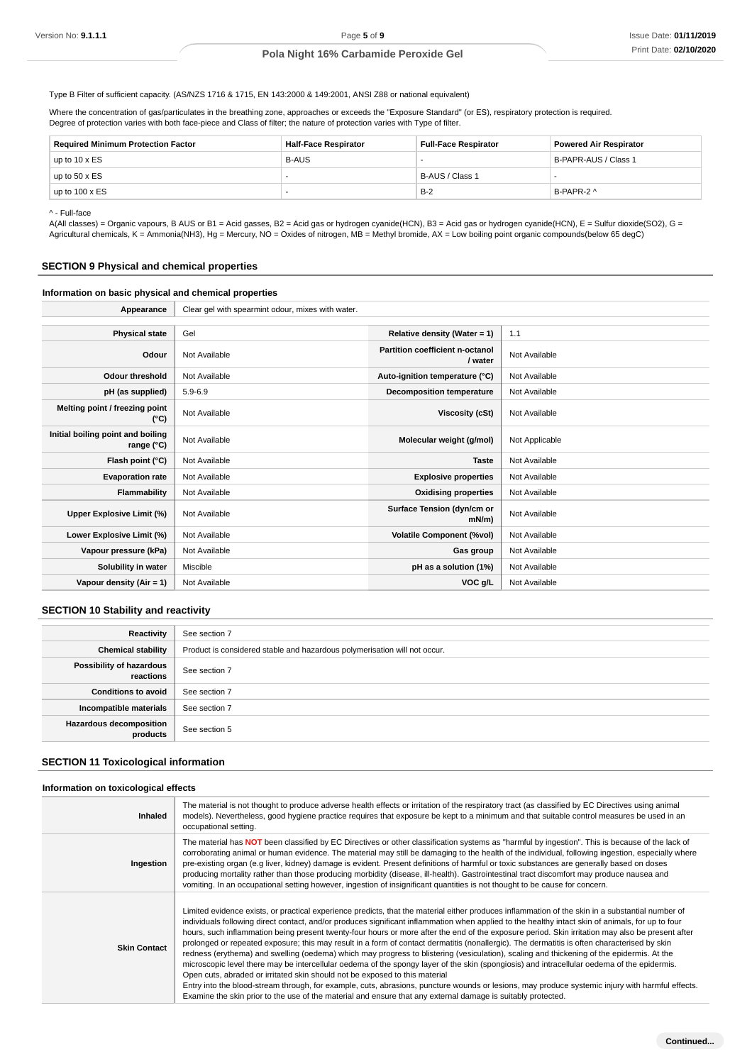Type B Filter of sufficient capacity. (AS/NZS 1716 & 1715, EN 143:2000 & 149:2001, ANSI Z88 or national equivalent)

Where the concentration of gas/particulates in the breathing zone, approaches or exceeds the "Exposure Standard" (or ES), respiratory protection is required. Degree of protection varies with both face-piece and Class of filter; the nature of protection varies with Type of filter.

| <b>Required Minimum Protection Factor</b> | <b>Half-Face Respirator</b> | <b>Full-Face Respirator</b> | <b>Powered Air Respirator</b> |
|-------------------------------------------|-----------------------------|-----------------------------|-------------------------------|
| up to 10 x $ES$                           | <b>B-AUS</b>                |                             | B-PAPR-AUS / Class 1          |
| up to 50 x ES                             |                             | B-AUS / Class 1             |                               |
| up to $100 \times ES$                     |                             | $B-2$                       | B-PAPR-2 ^                    |

^ - Full-face

A(All classes) = Organic vapours, B AUS or B1 = Acid gasses, B2 = Acid gas or hydrogen cyanide(HCN), B3 = Acid gas or hydrogen cyanide(HCN), E = Sulfur dioxide(SO2), G = Agricultural chemicals, K = Ammonia(NH3), Hg = Mercury, NO = Oxides of nitrogen, MB = Methyl bromide, AX = Low boiling point organic compounds(below 65 degC)

## **SECTION 9 Physical and chemical properties**

## **Information on basic physical and chemical properties**

| Appearance                                      | Clear gel with spearmint odour, mixes with water. |                                            |                |
|-------------------------------------------------|---------------------------------------------------|--------------------------------------------|----------------|
|                                                 |                                                   |                                            |                |
| <b>Physical state</b>                           | Gel                                               | Relative density (Water = $1$ )            | 1.1            |
| Odour                                           | Not Available                                     | Partition coefficient n-octanol<br>/ water | Not Available  |
| <b>Odour threshold</b>                          | Not Available                                     | Auto-ignition temperature (°C)             | Not Available  |
| pH (as supplied)                                | $5.9 - 6.9$                                       | <b>Decomposition temperature</b>           | Not Available  |
| Melting point / freezing point<br>(°C)          | Not Available                                     | Viscosity (cSt)                            | Not Available  |
| Initial boiling point and boiling<br>range (°C) | Not Available                                     | Molecular weight (g/mol)                   | Not Applicable |
| Flash point (°C)                                | Not Available                                     | <b>Taste</b>                               | Not Available  |
| <b>Evaporation rate</b>                         | Not Available                                     | <b>Explosive properties</b>                | Not Available  |
| Flammability                                    | Not Available                                     | <b>Oxidising properties</b>                | Not Available  |
| Upper Explosive Limit (%)                       | Not Available                                     | Surface Tension (dyn/cm or<br>$mN/m$ )     | Not Available  |
| Lower Explosive Limit (%)                       | Not Available                                     | <b>Volatile Component (%vol)</b>           | Not Available  |
| Vapour pressure (kPa)                           | Not Available                                     | Gas group                                  | Not Available  |
| Solubility in water                             | Miscible                                          | pH as a solution (1%)                      | Not Available  |
| Vapour density (Air = 1)                        | Not Available                                     | VOC g/L                                    | Not Available  |

## **SECTION 10 Stability and reactivity**

| Reactivity                                 | See section 7                                                             |
|--------------------------------------------|---------------------------------------------------------------------------|
| <b>Chemical stability</b>                  | Product is considered stable and hazardous polymerisation will not occur. |
| Possibility of hazardous<br>reactions      | See section 7                                                             |
| <b>Conditions to avoid</b>                 | See section 7                                                             |
| Incompatible materials                     | See section 7                                                             |
| <b>Hazardous decomposition</b><br>products | See section 5                                                             |

#### **SECTION 11 Toxicological information**

#### **Information on toxicological effects**

| <b>Inhaled</b>      | The material is not thought to produce adverse health effects or irritation of the respiratory tract (as classified by EC Directives using animal<br>models). Nevertheless, good hygiene practice requires that exposure be kept to a minimum and that suitable control measures be used in an<br>occupational setting.                                                                                                                                                                                                                                                                                                                                                                                                                                                                                                                                                                                                                                                                                                                                                                                                                                                                                                                                  |
|---------------------|----------------------------------------------------------------------------------------------------------------------------------------------------------------------------------------------------------------------------------------------------------------------------------------------------------------------------------------------------------------------------------------------------------------------------------------------------------------------------------------------------------------------------------------------------------------------------------------------------------------------------------------------------------------------------------------------------------------------------------------------------------------------------------------------------------------------------------------------------------------------------------------------------------------------------------------------------------------------------------------------------------------------------------------------------------------------------------------------------------------------------------------------------------------------------------------------------------------------------------------------------------|
| Ingestion           | The material has NOT been classified by EC Directives or other classification systems as "harmful by ingestion". This is because of the lack of<br>corroborating animal or human evidence. The material may still be damaging to the health of the individual, following ingestion, especially where<br>pre-existing organ (e.g liver, kidney) damage is evident. Present definitions of harmful or toxic substances are generally based on doses<br>producing mortality rather than those producing morbidity (disease, ill-health). Gastrointestinal tract discomfort may produce nausea and<br>vomiting. In an occupational setting however, ingestion of insignificant quantities is not thought to be cause for concern.                                                                                                                                                                                                                                                                                                                                                                                                                                                                                                                            |
| <b>Skin Contact</b> | Limited evidence exists, or practical experience predicts, that the material either produces inflammation of the skin in a substantial number of<br>individuals following direct contact, and/or produces significant inflammation when applied to the healthy intact skin of animals, for up to four<br>hours, such inflammation being present twenty-four hours or more after the end of the exposure period. Skin irritation may also be present after<br>prolonged or repeated exposure; this may result in a form of contact dermatitis (nonallergic). The dermatitis is often characterised by skin<br>redness (erythema) and swelling (oedema) which may progress to blistering (vesiculation), scaling and thickening of the epidermis. At the<br>microscopic level there may be intercellular oedema of the spongy layer of the skin (spongiosis) and intracellular oedema of the epidermis.<br>Open cuts, abraded or irritated skin should not be exposed to this material<br>Entry into the blood-stream through, for example, cuts, abrasions, puncture wounds or lesions, may produce systemic injury with harmful effects.<br>Examine the skin prior to the use of the material and ensure that any external damage is suitably protected. |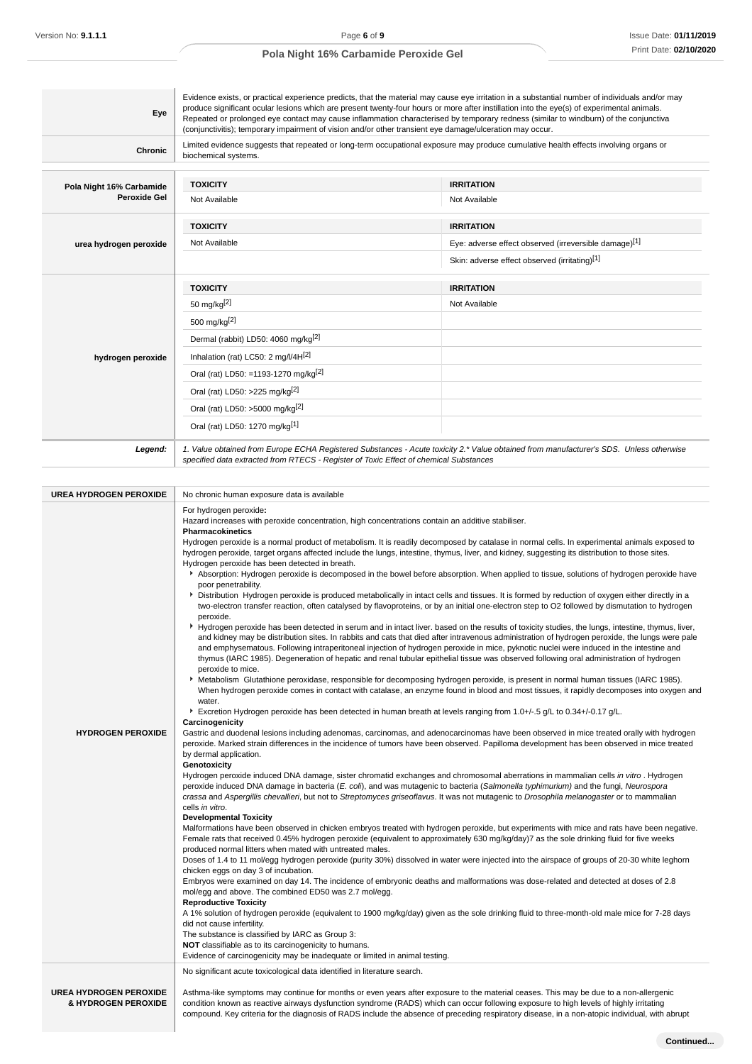| Eye                      | (conjunctivitis); temporary impairment of vision and/or other transient eye damage/ulceration may occur.                                                     | Evidence exists, or practical experience predicts, that the material may cause eye irritation in a substantial number of individuals and/or may<br>produce significant ocular lesions which are present twenty-four hours or more after instillation into the eye(s) of experimental animals.<br>Repeated or prolonged eye contact may cause inflammation characterised by temporary redness (similar to windburn) of the conjunctiva |  |
|--------------------------|--------------------------------------------------------------------------------------------------------------------------------------------------------------|---------------------------------------------------------------------------------------------------------------------------------------------------------------------------------------------------------------------------------------------------------------------------------------------------------------------------------------------------------------------------------------------------------------------------------------|--|
| <b>Chronic</b>           | Limited evidence suggests that repeated or long-term occupational exposure may produce cumulative health effects involving organs or<br>biochemical systems. |                                                                                                                                                                                                                                                                                                                                                                                                                                       |  |
| Pola Night 16% Carbamide | <b>TOXICITY</b>                                                                                                                                              | <b>IRRITATION</b>                                                                                                                                                                                                                                                                                                                                                                                                                     |  |
| Peroxide Gel             | Not Available                                                                                                                                                | Not Available                                                                                                                                                                                                                                                                                                                                                                                                                         |  |
|                          | <b>TOXICITY</b>                                                                                                                                              | <b>IRRITATION</b>                                                                                                                                                                                                                                                                                                                                                                                                                     |  |
| urea hydrogen peroxide   | Not Available                                                                                                                                                | Eye: adverse effect observed (irreversible damage)[1]                                                                                                                                                                                                                                                                                                                                                                                 |  |
|                          |                                                                                                                                                              | Skin: adverse effect observed (irritating)[1]                                                                                                                                                                                                                                                                                                                                                                                         |  |
|                          | <b>TOXICITY</b>                                                                                                                                              | <b>IRRITATION</b>                                                                                                                                                                                                                                                                                                                                                                                                                     |  |
|                          |                                                                                                                                                              | Not Available                                                                                                                                                                                                                                                                                                                                                                                                                         |  |
|                          | 50 mg/kg $[2]$                                                                                                                                               |                                                                                                                                                                                                                                                                                                                                                                                                                                       |  |
|                          | 500 mg/kg <sup>[2]</sup>                                                                                                                                     |                                                                                                                                                                                                                                                                                                                                                                                                                                       |  |
|                          | Dermal (rabbit) LD50: 4060 mg/kg <sup>[2]</sup>                                                                                                              |                                                                                                                                                                                                                                                                                                                                                                                                                                       |  |
| hydrogen peroxide        | Inhalation (rat) LC50: 2 mg/l/4H[2]                                                                                                                          |                                                                                                                                                                                                                                                                                                                                                                                                                                       |  |
|                          | Oral (rat) LD50: =1193-1270 mg/kg <sup>[2]</sup>                                                                                                             |                                                                                                                                                                                                                                                                                                                                                                                                                                       |  |
|                          | Oral (rat) LD50: >225 mg/kg <sup>[2]</sup>                                                                                                                   |                                                                                                                                                                                                                                                                                                                                                                                                                                       |  |
|                          | Oral (rat) LD50: >5000 mg/kg <sup>[2]</sup>                                                                                                                  |                                                                                                                                                                                                                                                                                                                                                                                                                                       |  |

| <b>UREA HYDROGEN PEROXIDE</b>                        | No chronic human exposure data is available                                                                                                                                                                                                                                                                                                                                                                                                                                                                                                                                                                                                                                                                                                                                                                                                                                                                                                                                                                                                                                                                                                                                                                                                                                                                                                                                                                                                                                                                                                                                                                                                                                                                                                                                                                                                                                                                                                                                                                                                                                                                                                                                                                                                                                                                                                                                                                                                                                                                                                                                                                                                                                                                                                                                                                                                                                                                                                                                                                                                                                                                                                                                                                                                                                                                                                                                                                                                                                                                                                                                                                                                                                                                                                                                                                                                                                                                                                                                                                                         |
|------------------------------------------------------|-------------------------------------------------------------------------------------------------------------------------------------------------------------------------------------------------------------------------------------------------------------------------------------------------------------------------------------------------------------------------------------------------------------------------------------------------------------------------------------------------------------------------------------------------------------------------------------------------------------------------------------------------------------------------------------------------------------------------------------------------------------------------------------------------------------------------------------------------------------------------------------------------------------------------------------------------------------------------------------------------------------------------------------------------------------------------------------------------------------------------------------------------------------------------------------------------------------------------------------------------------------------------------------------------------------------------------------------------------------------------------------------------------------------------------------------------------------------------------------------------------------------------------------------------------------------------------------------------------------------------------------------------------------------------------------------------------------------------------------------------------------------------------------------------------------------------------------------------------------------------------------------------------------------------------------------------------------------------------------------------------------------------------------------------------------------------------------------------------------------------------------------------------------------------------------------------------------------------------------------------------------------------------------------------------------------------------------------------------------------------------------------------------------------------------------------------------------------------------------------------------------------------------------------------------------------------------------------------------------------------------------------------------------------------------------------------------------------------------------------------------------------------------------------------------------------------------------------------------------------------------------------------------------------------------------------------------------------------------------------------------------------------------------------------------------------------------------------------------------------------------------------------------------------------------------------------------------------------------------------------------------------------------------------------------------------------------------------------------------------------------------------------------------------------------------------------------------------------------------------------------------------------------------------------------------------------------------------------------------------------------------------------------------------------------------------------------------------------------------------------------------------------------------------------------------------------------------------------------------------------------------------------------------------------------------------------------------------------------------------------------------------------------------|
| <b>HYDROGEN PEROXIDE</b>                             | For hydrogen peroxide:<br>Hazard increases with peroxide concentration, high concentrations contain an additive stabiliser.<br><b>Pharmacokinetics</b><br>Hydrogen peroxide is a normal product of metabolism. It is readily decomposed by catalase in normal cells. In experimental animals exposed to<br>hydrogen peroxide, target organs affected include the lungs, intestine, thymus, liver, and kidney, suggesting its distribution to those sites.<br>Hydrogen peroxide has been detected in breath.<br>Absorption: Hydrogen peroxide is decomposed in the bowel before absorption. When applied to tissue, solutions of hydrogen peroxide have<br>poor penetrability.<br>Distribution Hydrogen peroxide is produced metabolically in intact cells and tissues. It is formed by reduction of oxygen either directly in a<br>two-electron transfer reaction, often catalysed by flavoproteins, or by an initial one-electron step to O2 followed by dismutation to hydrogen<br>peroxide.<br>▶ Hydrogen peroxide has been detected in serum and in intact liver. based on the results of toxicity studies, the lungs, intestine, thymus, liver,<br>and kidney may be distribution sites. In rabbits and cats that died after intravenous administration of hydrogen peroxide, the lungs were pale<br>and emphysematous. Following intraperitoneal injection of hydrogen peroxide in mice, pyknotic nuclei were induced in the intestine and<br>thymus (IARC 1985). Degeneration of hepatic and renal tubular epithelial tissue was observed following oral administration of hydrogen<br>peroxide to mice.<br>▶ Metabolism Glutathione peroxidase, responsible for decomposing hydrogen peroxide, is present in normal human tissues (IARC 1985).<br>When hydrogen peroxide comes in contact with catalase, an enzyme found in blood and most tissues, it rapidly decomposes into oxygen and<br>water.<br>F Excretion Hydrogen peroxide has been detected in human breath at levels ranging from 1.0+/-.5 g/L to 0.34+/-0.17 g/L.<br>Carcinogenicity<br>Gastric and duodenal lesions including adenomas, carcinomas, and adenocarcinomas have been observed in mice treated orally with hydrogen<br>peroxide. Marked strain differences in the incidence of tumors have been observed. Papilloma development has been observed in mice treated<br>by dermal application.<br>Genotoxicity<br>Hydrogen peroxide induced DNA damage, sister chromatid exchanges and chromosomal aberrations in mammalian cells in vitro. Hydrogen<br>peroxide induced DNA damage in bacteria (E. coli), and was mutagenic to bacteria (Salmonella typhimurium) and the fungi, Neurospora<br>crassa and Aspergillis chevallieri, but not to Streptomyces griseoflavus. It was not mutagenic to Drosophila melanogaster or to mammalian<br>cells in vitro.<br><b>Developmental Toxicity</b><br>Malformations have been observed in chicken embryos treated with hydrogen peroxide, but experiments with mice and rats have been negative.<br>Female rats that received 0.45% hydrogen peroxide (equivalent to approximately 630 mg/kg/day)7 as the sole drinking fluid for five weeks<br>produced normal litters when mated with untreated males.<br>Doses of 1.4 to 11 mol/egg hydrogen peroxide (purity 30%) dissolved in water were injected into the airspace of groups of 20-30 white leghorn<br>chicken eggs on day 3 of incubation.<br>Embryos were examined on day 14. The incidence of embryonic deaths and malformations was dose-related and detected at doses of 2.8<br>mol/egg and above. The combined ED50 was 2.7 mol/egg.<br><b>Reproductive Toxicity</b><br>A 1% solution of hydrogen peroxide (equivalent to 1900 mg/kg/day) given as the sole drinking fluid to three-month-old male mice for 7-28 days<br>did not cause infertility.<br>The substance is classified by IARC as Group 3:<br>NOT classifiable as to its carcinogenicity to humans.<br>Evidence of carcinogenicity may be inadequate or limited in animal testing. |
| <b>UREA HYDROGEN PEROXIDE</b><br>& HYDROGEN PEROXIDE | No significant acute toxicological data identified in literature search.<br>Asthma-like symptoms may continue for months or even years after exposure to the material ceases. This may be due to a non-allergenic<br>condition known as reactive airways dysfunction syndrome (RADS) which can occur following exposure to high levels of highly irritating<br>compound. Key criteria for the diagnosis of RADS include the absence of preceding respiratory disease, in a non-atopic individual, with abrupt                                                                                                                                                                                                                                                                                                                                                                                                                                                                                                                                                                                                                                                                                                                                                                                                                                                                                                                                                                                                                                                                                                                                                                                                                                                                                                                                                                                                                                                                                                                                                                                                                                                                                                                                                                                                                                                                                                                                                                                                                                                                                                                                                                                                                                                                                                                                                                                                                                                                                                                                                                                                                                                                                                                                                                                                                                                                                                                                                                                                                                                                                                                                                                                                                                                                                                                                                                                                                                                                                                                       |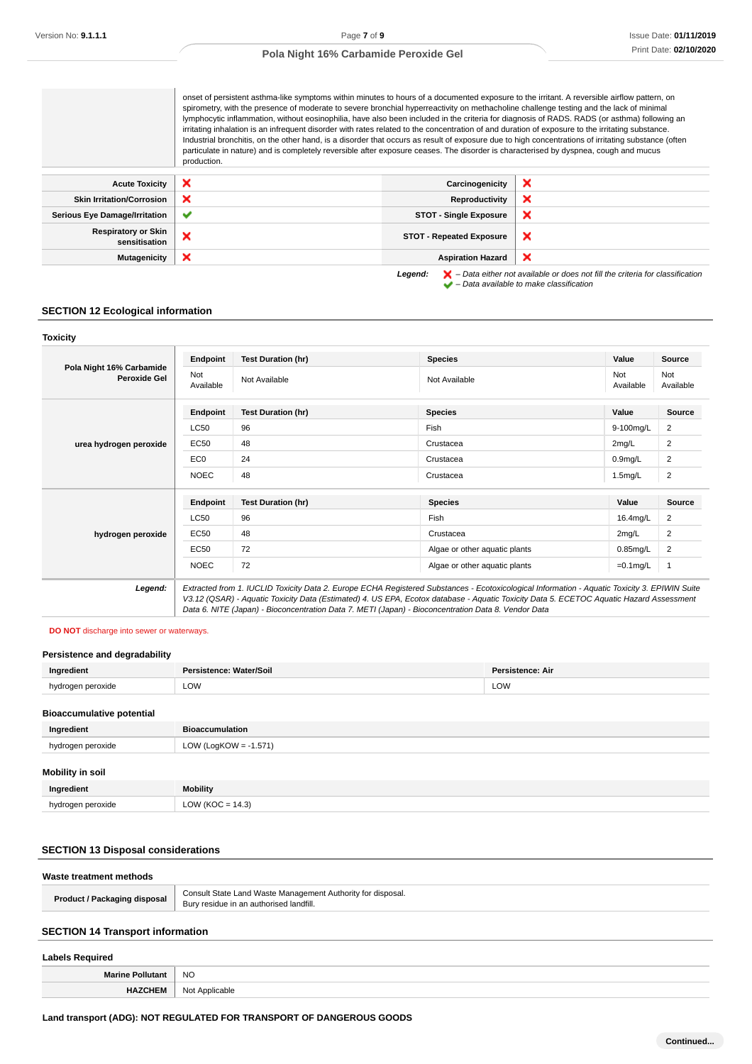onset of persistent asthma-like symptoms within minutes to hours of a documented exposure to the irritant. A reversible airflow pattern, on spirometry, with the presence of moderate to severe bronchial hyperreactivity on methacholine challenge testing and the lack of minimal lymphocytic inflammation, without eosinophilia, have also been included in the criteria for diagnosis of RADS. RADS (or asthma) following an irritating inhalation is an infrequent disorder with rates related to the concentration of and duration of exposure to the irritating substance. Industrial bronchitis, on the other hand, is a disorder that occurs as result of exposure due to high concentrations of irritating substance (often particulate in nature) and is completely reversible after exposure ceases. The disorder is characterised by dyspnea, cough and mucus production.

| <b>Acute Toxicity</b>                       | $\boldsymbol{\mathsf{x}}$ | Carcinogenicity                 | ×                                                                                                                                                                   |
|---------------------------------------------|---------------------------|---------------------------------|---------------------------------------------------------------------------------------------------------------------------------------------------------------------|
| <b>Skin Irritation/Corrosion</b>            | ×                         | Reproductivity                  | ×                                                                                                                                                                   |
| <b>Serious Eye Damage/Irritation</b>        | $\checkmark$              | <b>STOT - Single Exposure</b>   | ×                                                                                                                                                                   |
| <b>Respiratory or Skin</b><br>sensitisation | ×                         | <b>STOT - Repeated Exposure</b> | ×                                                                                                                                                                   |
| <b>Mutagenicity</b>                         | ×                         | <b>Aspiration Hazard</b>        | ×                                                                                                                                                                   |
|                                             |                           | Legend:                         | $\blacktriangleright$ - Data either not available or does not fill the criteria for classification<br>$\blacktriangleright$ - Data available to make classification |

## **SECTION 12 Ecological information**

| Pola Night 16% Carbamide<br>Peroxide Gel | Endpoint         | <b>Test Duration (hr)</b> | <b>Species</b>                                                                                                                                | Value               | Source           |
|------------------------------------------|------------------|---------------------------|-----------------------------------------------------------------------------------------------------------------------------------------------|---------------------|------------------|
|                                          | Not<br>Available | Not Available             | Not Available                                                                                                                                 | Not<br>Available    | Not<br>Available |
|                                          | Endpoint         | <b>Test Duration (hr)</b> | <b>Species</b>                                                                                                                                | Value               | Source           |
|                                          | <b>LC50</b>      | 96                        | Fish                                                                                                                                          | 9-100mg/L           | 2                |
| urea hydrogen peroxide                   | EC50             | 48                        | Crustacea                                                                                                                                     | $2$ mg/L            | 2                |
|                                          | EC <sub>0</sub>  | 24                        | Crustacea                                                                                                                                     | 0.9 <sub>mg/L</sub> | $\overline{2}$   |
|                                          | <b>NOEC</b>      | 48                        | Crustacea                                                                                                                                     | $1.5$ mg/L          | $\overline{c}$   |
|                                          | Endpoint         | <b>Test Duration (hr)</b> | <b>Species</b>                                                                                                                                | Value               | Source           |
|                                          | <b>LC50</b>      | 96                        | <b>Fish</b>                                                                                                                                   | 16.4mg/L            | 2                |
| hydrogen peroxide                        | EC50             | 48                        | Crustacea                                                                                                                                     | 2mg/L               | 2                |
|                                          | EC50             | 72                        | Algae or other aquatic plants                                                                                                                 | $0.85$ mg/L         | 2                |
|                                          | <b>NOEC</b>      | 72                        | Algae or other aquatic plants                                                                                                                 | $=0.1$ mg/L         | $\mathbf{1}$     |
| Legend:                                  |                  |                           | Extracted from 1. IUCLID Toxicity Data 2. Europe ECHA Registered Substances - Ecotoxicological Information - Aquatic Toxicity 3. EPIWIN Suite |                     |                  |

#### **DO NOT** discharge into sewer or waterways.

## **Persistence and degradability**

| Ingredient                       | Persistence: Water/Soil | Persistence: Air |
|----------------------------------|-------------------------|------------------|
| hydrogen peroxide                | LOW                     | LOW              |
| <b>Bioaccumulative potential</b> |                         |                  |
| Ingredient                       | <b>Bioaccumulation</b>  |                  |

## hydrogen peroxide LOW (LogKOW = -1.571)

| Mobility in soil  |                      |
|-------------------|----------------------|
| Ingredient        | Mobility             |
| hydrogen peroxide | LOW ( $KOC = 14.3$ ) |

## **SECTION 13 Disposal considerations**

| Waste treatment methods             |                                                                                                        |
|-------------------------------------|--------------------------------------------------------------------------------------------------------|
| <b>Product / Packaging disposal</b> | Consult State Land Waste Management Authority for disposal.<br>Bury residue in an authorised landfill. |
|                                     |                                                                                                        |

# **SECTION 14 Transport information**

## **Labels Required**

**Marine Pollutant** NO

**HAZCHEM** Not Applicable

## **Land transport (ADG): NOT REGULATED FOR TRANSPORT OF DANGEROUS GOODS**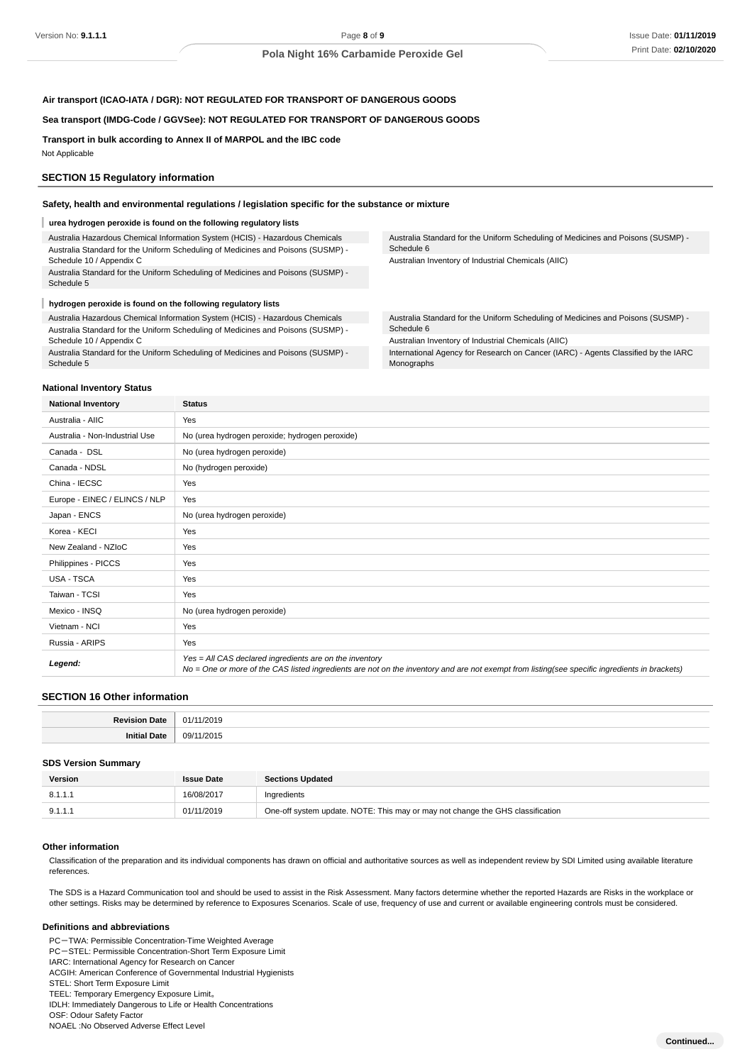## **Air transport (ICAO-IATA / DGR): NOT REGULATED FOR TRANSPORT OF DANGEROUS GOODS**

#### **Sea transport (IMDG-Code / GGVSee): NOT REGULATED FOR TRANSPORT OF DANGEROUS GOODS**

**Transport in bulk according to Annex II of MARPOL and the IBC code** Not Applicable

#### **SECTION 15 Regulatory information**

#### **Safety, health and environmental regulations / legislation specific for the substance or mixture**

#### **urea hydrogen peroxide is found on the following regulatory lists**

Australia Hazardous Chemical Information System (HCIS) - Hazardous Chemicals Australia Standard for the Uniform Scheduling of Medicines and Poisons (SUSMP) - Schedule 10 / Appendix C Australia Standard for the Uniform Scheduling of Medicines and Poisons (SUSMP) -

Schedule 5

#### ı **hydrogen peroxide is found on the following regulatory lists**

Australia Hazardous Chemical Information System (HCIS) - Hazardous Chemicals Australia Standard for the Uniform Scheduling of Medicines and Poisons (SUSMP) - Schedule 10 / Appendix C

Australia Standard for the Uniform Scheduling of Medicines and Poisons (SUSMP) - Schedule 5

Australia Standard for the Uniform Scheduling of Medicines and Poisons (SUSMP) - Schedule 6

Australian Inventory of Industrial Chemicals (AIIC)

Australia Standard for the Uniform Scheduling of Medicines and Poisons (SUSMP) - Schedule 6

Australian Inventory of Industrial Chemicals (AIIC)

International Agency for Research on Cancer (IARC) - Agents Classified by the IARC Monographs

#### **National Inventory Status**

| <b>National Inventory</b>      | <b>Status</b>                                                                                                                                                                                            |
|--------------------------------|----------------------------------------------------------------------------------------------------------------------------------------------------------------------------------------------------------|
| Australia - AIIC               | Yes                                                                                                                                                                                                      |
| Australia - Non-Industrial Use | No (urea hydrogen peroxide; hydrogen peroxide)                                                                                                                                                           |
| Canada - DSL                   | No (urea hydrogen peroxide)                                                                                                                                                                              |
| Canada - NDSL                  | No (hydrogen peroxide)                                                                                                                                                                                   |
| China - IECSC                  | Yes                                                                                                                                                                                                      |
| Europe - EINEC / ELINCS / NLP  | Yes                                                                                                                                                                                                      |
| Japan - ENCS                   | No (urea hydrogen peroxide)                                                                                                                                                                              |
| Korea - KECI                   | Yes                                                                                                                                                                                                      |
| New Zealand - NZIoC            | Yes                                                                                                                                                                                                      |
| Philippines - PICCS            | Yes                                                                                                                                                                                                      |
| USA - TSCA                     | Yes                                                                                                                                                                                                      |
| Taiwan - TCSI                  | Yes                                                                                                                                                                                                      |
| Mexico - INSQ                  | No (urea hydrogen peroxide)                                                                                                                                                                              |
| Vietnam - NCI                  | Yes                                                                                                                                                                                                      |
| Russia - ARIPS                 | Yes                                                                                                                                                                                                      |
| Legend:                        | Yes = All CAS declared ingredients are on the inventory<br>No = One or more of the CAS listed ingredients are not on the inventory and are not exempt from listing(see specific ingredients in brackets) |

#### **SECTION 16 Other information**

| ъ. |          |
|----|----------|
|    | /מר<br>. |

#### **SDS Version Summary**

| Version | <b>Issue Date</b> | <b>Sections Updated</b>                                                        |
|---------|-------------------|--------------------------------------------------------------------------------|
| 8.1.1.1 | 16/08/2017        | Ingredients                                                                    |
| 9.1.1.1 | 01/11/2019        | One-off system update. NOTE: This may or may not change the GHS classification |

#### **Other information**

Classification of the preparation and its individual components has drawn on official and authoritative sources as well as independent review by SDI Limited using available literature references.

The SDS is a Hazard Communication tool and should be used to assist in the Risk Assessment. Many factors determine whether the reported Hazards are Risks in the workplace or other settings. Risks may be determined by reference to Exposures Scenarios. Scale of use, frequency of use and current or available engineering controls must be considered.

#### **Definitions and abbreviations**

PC-TWA: Permissible Concentration-Time Weighted Average

PC-STEL: Permissible Concentration-Short Term Exposure Limit

IARC: International Agency for Research on Cancer

ACGIH: American Conference of Governmental Industrial Hygienists

TEEL: Temporary Emergency Exposure Limit。

IDLH: Immediately Dangerous to Life or Health Concentrations

OSF: Odour Safety Factor

NOAEL :No Observed Adverse Effect Level

STEL: Short Term Exposure Limit